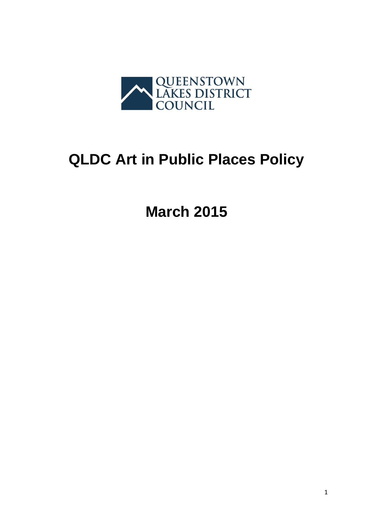

# **QLDC Art in Public Places Policy**

**March 2015**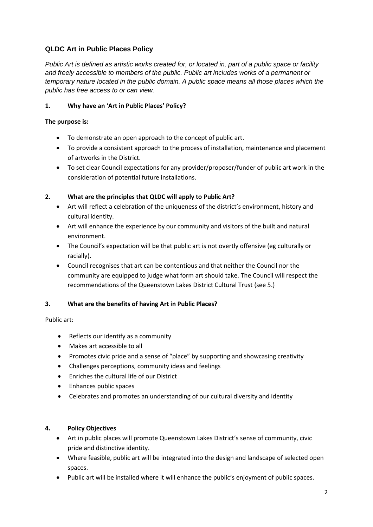# **QLDC Art in Public Places Policy**

*Public Art is defined as artistic works created for, or located in, part of a public space or facility and freely accessible to members of the public. Public art includes works of a permanent or temporary nature located in the public domain. A public space means all those places which the public has free access to or can view.* 

### **1. Why have an 'Art in Public Places' Policy?**

#### **The purpose is:**

- To demonstrate an open approach to the concept of public art.
- To provide a consistent approach to the process of installation, maintenance and placement of artworks in the District.
- To set clear Council expectations for any provider/proposer/funder of public art work in the consideration of potential future installations.

#### **2. What are the principles that QLDC will apply to Public Art?**

- Art will reflect a celebration of the uniqueness of the district's environment, history and cultural identity.
- Art will enhance the experience by our community and visitors of the built and natural environment.
- The Council's expectation will be that public art is not overtly offensive (eg culturally or racially).
- Council recognises that art can be contentious and that neither the Council nor the community are equipped to judge what form art should take. The Council will respect the recommendations of the Queenstown Lakes District Cultural Trust (see 5.)

## **3. What are the benefits of having Art in Public Places?**

#### Public art:

- Reflects our identify as a community
- Makes art accessible to all
- Promotes civic pride and a sense of "place" by supporting and showcasing creativity
- Challenges perceptions, community ideas and feelings
- Enriches the cultural life of our District
- Enhances public spaces
- Celebrates and promotes an understanding of our cultural diversity and identity

#### **4. Policy Objectives**

- Art in public places will promote Queenstown Lakes District's sense of community, civic pride and distinctive identity.
- Where feasible, public art will be integrated into the design and landscape of selected open spaces.
- Public art will be installed where it will enhance the public's enjoyment of public spaces.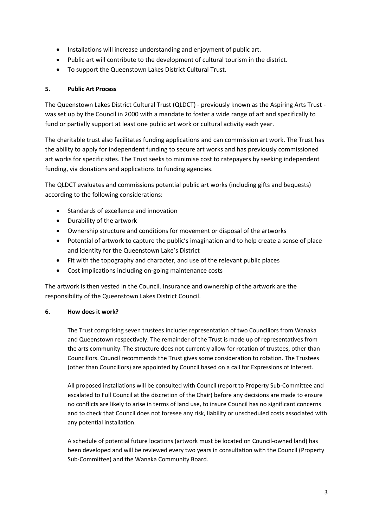- Installations will increase understanding and enjoyment of public art.
- Public art will contribute to the development of cultural tourism in the district.
- To support the Queenstown Lakes District Cultural Trust.

#### **5. Public Art Process**

The Queenstown Lakes District Cultural Trust (QLDCT) - previously known as the Aspiring Arts Trust was set up by the Council in 2000 with a mandate to foster a wide range of art and specifically to fund or partially support at least one public art work or cultural activity each year.

The charitable trust also facilitates funding applications and can commission art work. The Trust has the ability to apply for independent funding to secure art works and has previously commissioned art works for specific sites. The Trust seeks to minimise cost to ratepayers by seeking independent funding, via donations and applications to funding agencies.

The QLDCT evaluates and commissions potential public art works (including gifts and bequests) according to the following considerations:

- Standards of excellence and innovation
- Durability of the artwork
- Ownership structure and conditions for movement or disposal of the artworks
- Potential of artwork to capture the public's imagination and to help create a sense of place and identity for the Queenstown Lake's District
- Fit with the topography and character, and use of the relevant public places
- Cost implications including on-going maintenance costs

The artwork is then vested in the Council. Insurance and ownership of the artwork are the responsibility of the Queenstown Lakes District Council.

#### **6. How does it work?**

The Trust comprising seven trustees includes representation of two Councillors from Wanaka and Queenstown respectively. The remainder of the Trust is made up of representatives from the arts community. The structure does not currently allow for rotation of trustees, other than Councillors. Council recommends the Trust gives some consideration to rotation. The Trustees (other than Councillors) are appointed by Council based on a call for Expressions of Interest.

All proposed installations will be consulted with Council (report to Property Sub-Committee and escalated to Full Council at the discretion of the Chair) before any decisions are made to ensure no conflicts are likely to arise in terms of land use, to insure Council has no significant concerns and to check that Council does not foresee any risk, liability or unscheduled costs associated with any potential installation.

A schedule of potential future locations (artwork must be located on Council-owned land) has been developed and will be reviewed every two years in consultation with the Council (Property Sub-Committee) and the Wanaka Community Board.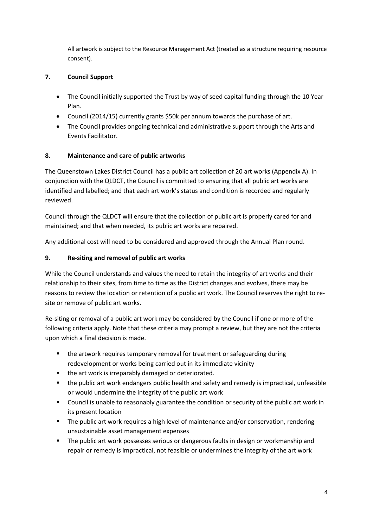All artwork is subject to the Resource Management Act (treated as a structure requiring resource consent).

# **7. Council Support**

- The Council initially supported the Trust by way of seed capital funding through the 10 Year Plan.
- Council (2014/15) currently grants \$50k per annum towards the purchase of art.
- The Council provides ongoing technical and administrative support through the Arts and Events Facilitator.

## **8. Maintenance and care of public artworks**

The Queenstown Lakes District Council has a public art collection of 20 art works (Appendix A). In conjunction with the QLDCT, the Council is committed to ensuring that all public art works are identified and labelled; and that each art work's status and condition is recorded and regularly reviewed.

Council through the QLDCT will ensure that the collection of public art is properly cared for and maintained; and that when needed, its public art works are repaired.

Any additional cost will need to be considered and approved through the Annual Plan round.

## **9. Re-siting and removal of public art works**

While the Council understands and values the need to retain the integrity of art works and their relationship to their sites, from time to time as the District changes and evolves, there may be reasons to review the location or retention of a public art work. The Council reserves the right to resite or remove of public art works.

Re-siting or removal of a public art work may be considered by the Council if one or more of the following criteria apply. Note that these criteria may prompt a review, but they are not the criteria upon which a final decision is made.

- the artwork requires temporary removal for treatment or safeguarding during redevelopment or works being carried out in its immediate vicinity
- **the art work is irreparably damaged or deteriorated.**
- the public art work endangers public health and safety and remedy is impractical, unfeasible or would undermine the integrity of the public art work
- Council is unable to reasonably guarantee the condition or security of the public art work in its present location
- **The public art work requires a high level of maintenance and/or conservation, rendering** unsustainable asset management expenses
- The public art work possesses serious or dangerous faults in design or workmanship and repair or remedy is impractical, not feasible or undermines the integrity of the art work